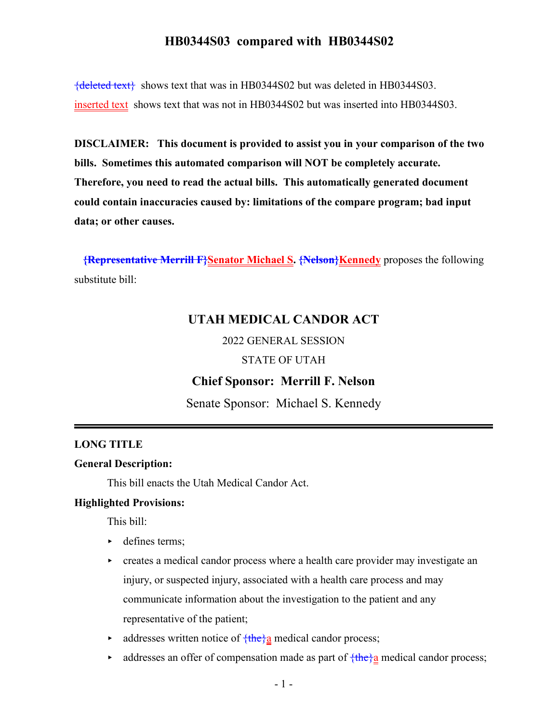${deleted text}$  shows text that was in HB0344S02 but was deleted in HB0344S03. inserted text shows text that was not in HB0344S02 but was inserted into HB0344S03.

**DISCLAIMER: This document is provided to assist you in your comparison of the two bills. Sometimes this automated comparison will NOT be completely accurate. Therefore, you need to read the actual bills. This automatically generated document could contain inaccuracies caused by: limitations of the compare program; bad input data; or other causes.**

**{Representative Merrill F}Senator Michael S. {Nelson}Kennedy** proposes the following substitute bill:

### **UTAH MEDICAL CANDOR ACT**

2022 GENERAL SESSION

STATE OF UTAH

#### **Chief Sponsor: Merrill F. Nelson**

Senate Sponsor: Michael S. Kennedy

#### **LONG TITLE**

#### **General Description:**

This bill enacts the Utah Medical Candor Act.

#### **Highlighted Provisions:**

This bill:

- defines terms;
- $\triangleright$  creates a medical candor process where a health care provider may investigate an injury, or suspected injury, associated with a health care process and may communicate information about the investigation to the patient and any representative of the patient;
- $\triangleright$  addresses written notice of  $\frac{\text{the}}{\text{a}}$  medical candor process;
- $\triangleright$  addresses an offer of compensation made as part of  $\frac{\text{the}}{a}$  medical candor process;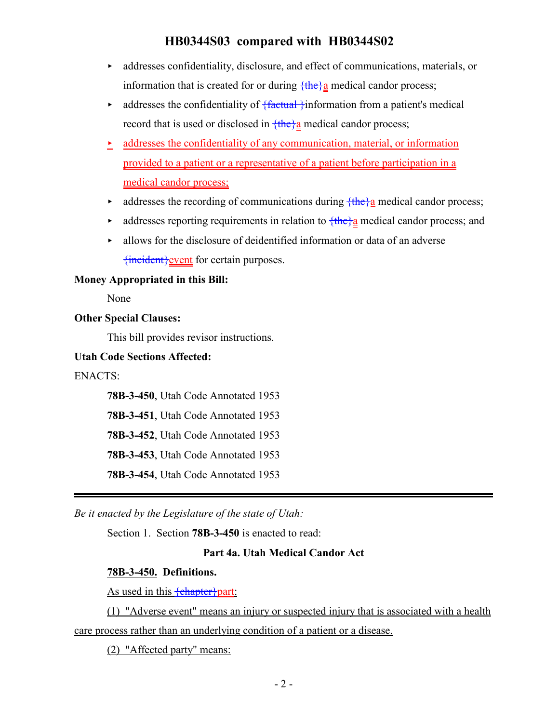- $\blacktriangleright$  addresses confidentiality, disclosure, and effect of communications, materials, or information that is created for or during  ${the}a$  medical candor process;
- $\rightarrow$  addresses the confidentiality of  $\{$  factual  $\}$  information from a patient's medical record that is used or disclosed in  $\frac{\text{the}}{2}$  medical candor process;
- $\geq$  addresses the confidentiality of any communication, material, or information provided to a patient or a representative of a patient before participation in a medical candor process;
- $\blacktriangleright$  addresses the recording of communications during  $\frac{\text{the}}{a}$  medical candor process;
- addresses reporting requirements in relation to  $\frac{\text{the}}{a}$  medical candor process; and
- < allows for the disclosure of deidentified information or data of an adverse {incident}event for certain purposes.

#### **Money Appropriated in this Bill:**

None

#### **Other Special Clauses:**

This bill provides revisor instructions.

#### **Utah Code Sections Affected:**

ENACTS:

**78B-3-450**, Utah Code Annotated 1953

**78B-3-451**, Utah Code Annotated 1953

**78B-3-452**, Utah Code Annotated 1953

**78B-3-453**, Utah Code Annotated 1953

**78B-3-454**, Utah Code Annotated 1953

*Be it enacted by the Legislature of the state of Utah:*

Section 1. Section **78B-3-450** is enacted to read:

#### **Part 4a. Utah Medical Candor Act**

#### **78B-3-450. Definitions.**

As used in this **{chapter}part:** 

(1) "Adverse event" means an injury or suspected injury that is associated with a health care process rather than an underlying condition of a patient or a disease.

(2) "Affected party" means: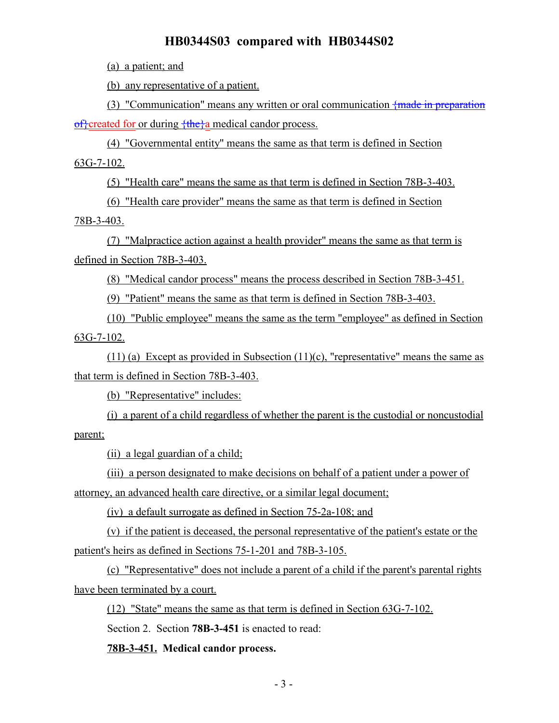(a) a patient; and

(b) any representative of a patient.

(3) "Communication" means any written or oral communication  $\frac{1}{2}$  made in preparation  $\frac{f}{c}$ created for or during  $\frac{f}{c}$  medical candor process.

(4) "Governmental entity" means the same as that term is defined in Section 63G-7-102.

(5) "Health care" means the same as that term is defined in Section 78B-3-403.

(6) "Health care provider" means the same as that term is defined in Section

78B-3-403.

(7) "Malpractice action against a health provider" means the same as that term is defined in Section 78B-3-403.

(8) "Medical candor process" means the process described in Section 78B-3-451.

(9) "Patient" means the same as that term is defined in Section 78B-3-403.

(10) "Public employee" means the same as the term "employee" as defined in Section  $63G-7-102$ .

(11) (a) Except as provided in Subsection (11)(c), "representative" means the same as that term is defined in Section 78B-3-403.

(b) "Representative" includes:

(i) a parent of a child regardless of whether the parent is the custodial or noncustodial parent;

(ii) a legal guardian of a child;

(iii) a person designated to make decisions on behalf of a patient under a power of attorney, an advanced health care directive, or a similar legal document;

(iv) a default surrogate as defined in Section 75-2a-108; and

(v) if the patient is deceased, the personal representative of the patient's estate or the patient's heirs as defined in Sections 75-1-201 and 78B-3-105.

(c) "Representative" does not include a parent of a child if the parent's parental rights have been terminated by a court.

(12) "State" means the same as that term is defined in Section 63G-7-102.

Section 2. Section **78B-3-451** is enacted to read:

**78B-3-451. Medical candor process.**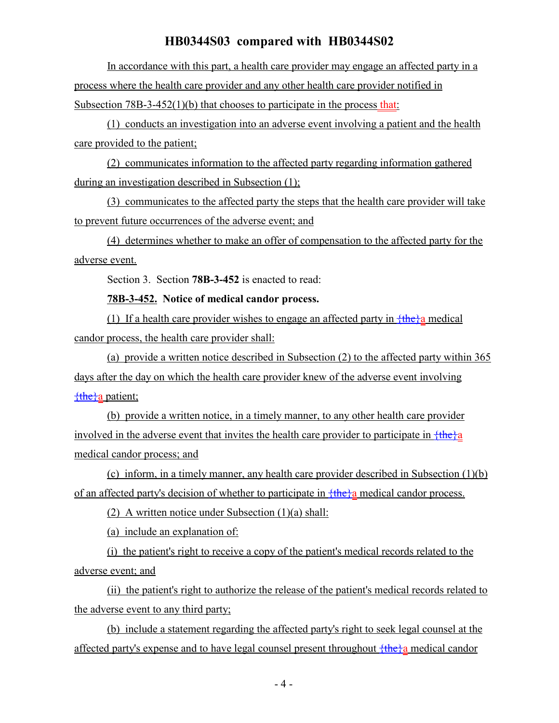In accordance with this part, a health care provider may engage an affected party in a process where the health care provider and any other health care provider notified in Subsection 78B-3-452(1)(b) that chooses to participate in the process that:

(1) conducts an investigation into an adverse event involving a patient and the health care provided to the patient;

(2) communicates information to the affected party regarding information gathered during an investigation described in Subsection (1);

(3) communicates to the affected party the steps that the health care provider will take to prevent future occurrences of the adverse event; and

(4) determines whether to make an offer of compensation to the affected party for the adverse event.

Section 3. Section **78B-3-452** is enacted to read:

#### **78B-3-452. Notice of medical candor process.**

(1) If a health care provider wishes to engage an affected party in  $\frac{1}{10}$  medical candor process, the health care provider shall:

(a) provide a written notice described in Subsection (2) to the affected party within 365 days after the day on which the health care provider knew of the adverse event involving  ${the}a$  patient;

(b) provide a written notice, in a timely manner, to any other health care provider involved in the adverse event that invites the health care provider to participate in  $\frac{f_{th}}{f_{th}}$ medical candor process; and

(c) inform, in a timely manner, any health care provider described in Subsection (1)(b) of an affected party's decision of whether to participate in  $\frac{f_{thc}}{a}$  medical candor process.

(2) A written notice under Subsection (1)(a) shall:

(a) include an explanation of:

(i) the patient's right to receive a copy of the patient's medical records related to the adverse event; and

(ii) the patient's right to authorize the release of the patient's medical records related to the adverse event to any third party;

(b) include a statement regarding the affected party's right to seek legal counsel at the affected party's expense and to have legal counsel present throughout  $\frac{f_{the}}{g}$  medical candor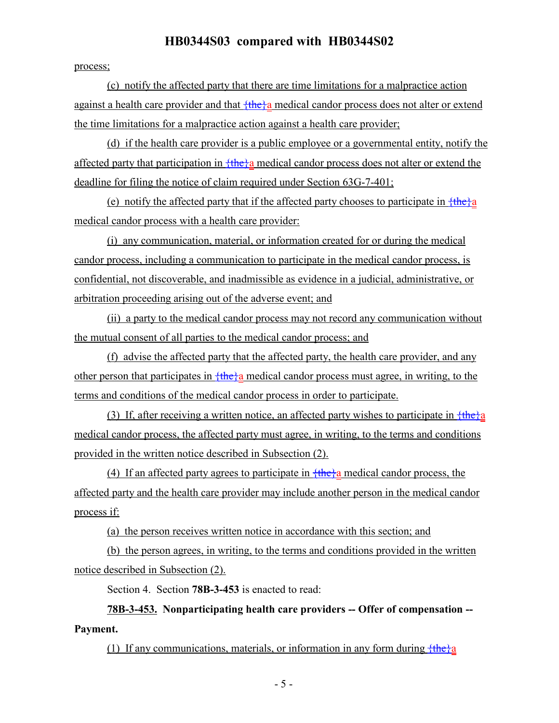process;

(c) notify the affected party that there are time limitations for a malpractice action against a health care provider and that  $\frac{f_{th}}{f_{th}}$  medical candor process does not alter or extend the time limitations for a malpractice action against a health care provider;

(d) if the health care provider is a public employee or a governmental entity, notify the affected party that participation in  $f$ the $\}a$  medical candor process does not alter or extend the deadline for filing the notice of claim required under Section 63G-7-401;

(e) notify the affected party that if the affected party chooses to participate in  ${the}a$ medical candor process with a health care provider:

(i) any communication, material, or information created for or during the medical candor process, including a communication to participate in the medical candor process, is confidential, not discoverable, and inadmissible as evidence in a judicial, administrative, or arbitration proceeding arising out of the adverse event; and

(ii) a party to the medical candor process may not record any communication without the mutual consent of all parties to the medical candor process; and

(f) advise the affected party that the affected party, the health care provider, and any other person that participates in  $\frac{f \cdot \text{the}}{a}$  medical candor process must agree, in writing, to the terms and conditions of the medical candor process in order to participate.

(3) If, after receiving a written notice, an affected party wishes to participate in  $\frac{\text{the}}{\text{a}}$ medical candor process, the affected party must agree, in writing, to the terms and conditions provided in the written notice described in Subsection (2).

(4) If an affected party agrees to participate in  $\frac{f_{th}}{g}$  medical candor process, the affected party and the health care provider may include another person in the medical candor process if:

(a) the person receives written notice in accordance with this section; and

(b) the person agrees, in writing, to the terms and conditions provided in the written notice described in Subsection (2).

Section 4. Section **78B-3-453** is enacted to read:

**78B-3-453. Nonparticipating health care providers -- Offer of compensation -- Payment.**

(1) If any communications, materials, or information in any form during  ${the}_i$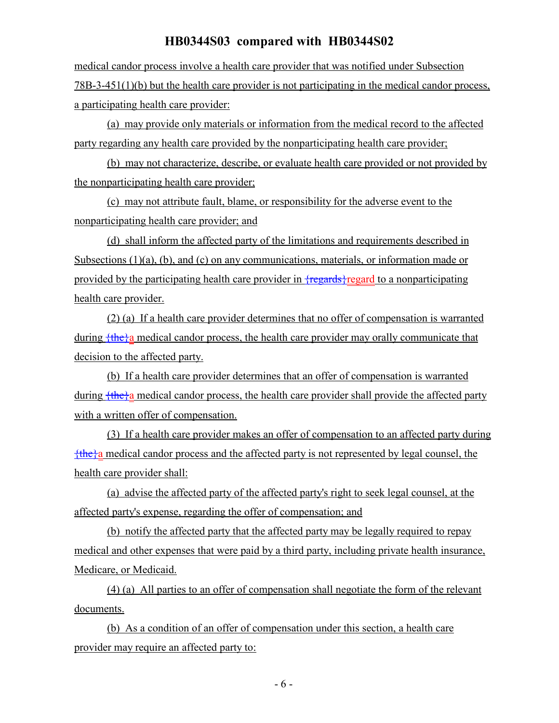medical candor process involve a health care provider that was notified under Subsection 78B-3-451(1)(b) but the health care provider is not participating in the medical candor process, a participating health care provider:

(a) may provide only materials or information from the medical record to the affected party regarding any health care provided by the nonparticipating health care provider;

(b) may not characterize, describe, or evaluate health care provided or not provided by the nonparticipating health care provider;

(c) may not attribute fault, blame, or responsibility for the adverse event to the nonparticipating health care provider; and

(d) shall inform the affected party of the limitations and requirements described in Subsections (1)(a), (b), and (c) on any communications, materials, or information made or provided by the participating health care provider in  ${f$ regards $}$ regard to a nonparticipating health care provider.

(2) (a) If a health care provider determines that no offer of compensation is warranted during  $\frac{f_{\text{the}}}{a}$  medical candor process, the health care provider may orally communicate that decision to the affected party.

(b) If a health care provider determines that an offer of compensation is warranted during  ${the}$  a medical candor process, the health care provider shall provide the affected party with a written offer of compensation.

(3) If a health care provider makes an offer of compensation to an affected party during  $\frac{f$ the $\}a$  medical candor process and the affected party is not represented by legal counsel, the health care provider shall:

(a) advise the affected party of the affected party's right to seek legal counsel, at the affected party's expense, regarding the offer of compensation; and

(b) notify the affected party that the affected party may be legally required to repay medical and other expenses that were paid by a third party, including private health insurance, Medicare, or Medicaid.

(4) (a) All parties to an offer of compensation shall negotiate the form of the relevant documents.

(b) As a condition of an offer of compensation under this section, a health care provider may require an affected party to: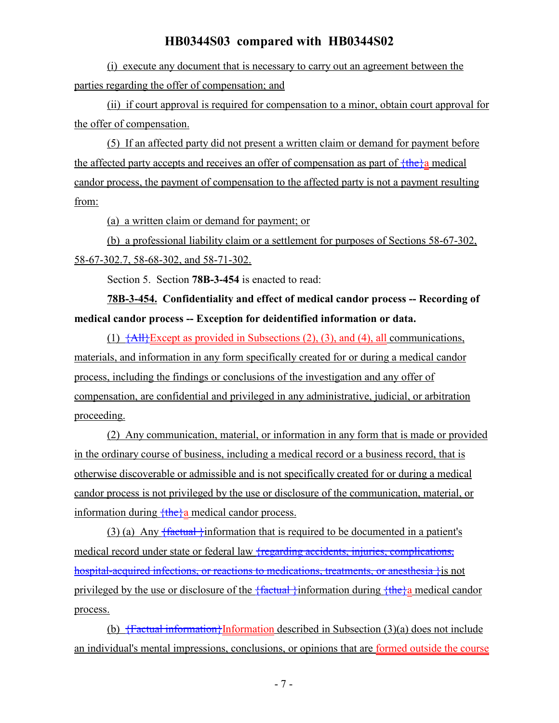(i) execute any document that is necessary to carry out an agreement between the parties regarding the offer of compensation; and

(ii) if court approval is required for compensation to a minor, obtain court approval for the offer of compensation.

(5) If an affected party did not present a written claim or demand for payment before the affected party accepts and receives an offer of compensation as part of  $\frac{f_{thc}}{a}$  medical candor process, the payment of compensation to the affected party is not a payment resulting from:

(a) a written claim or demand for payment; or

(b) a professional liability claim or a settlement for purposes of Sections 58-67-302, 58-67-302.7, 58-68-302, and 58-71-302.

Section 5. Section **78B-3-454** is enacted to read:

**78B-3-454. Confidentiality and effect of medical candor process -- Recording of medical candor process -- Exception for deidentified information or data.**

(1)  $\overline{\{\text{AII}\}\text{Except}}$  as provided in Subsections (2), (3), and (4), all communications, materials, and information in any form specifically created for or during a medical candor process, including the findings or conclusions of the investigation and any offer of compensation, are confidential and privileged in any administrative, judicial, or arbitration proceeding.

(2) Any communication, material, or information in any form that is made or provided in the ordinary course of business, including a medical record or a business record, that is otherwise discoverable or admissible and is not specifically created for or during a medical candor process is not privileged by the use or disclosure of the communication, material, or information during  ${$ the $}a$  medical candor process.

(3) (a) Any  $\{$ factual  $\}$ information that is required to be documented in a patient's medical record under state or federal law <del>{regarding accidents, injuries, complications,</del> hospital-acquired infections, or reactions to medications, treatments, or anesthesia } is not privileged by the use or disclosure of the  $\{$ factual  $\}$ information during  $\{$ the $\}$ a medical candor process.

(b)  $\frac{1}{100}$   $\frac{1}{100}$   $\frac{1}{100}$   $\frac{1}{100}$   $\frac{1}{100}$   $\frac{1}{100}$   $\frac{1}{100}$   $\frac{1}{100}$   $\frac{1}{100}$   $\frac{1}{100}$   $\frac{1}{100}$   $\frac{1}{100}$   $\frac{1}{100}$   $\frac{1}{100}$   $\frac{1}{100}$   $\frac{1}{100}$   $\frac{1}{100}$   $\frac{1}{100}$  an individual's mental impressions, conclusions, or opinions that are formed outside the course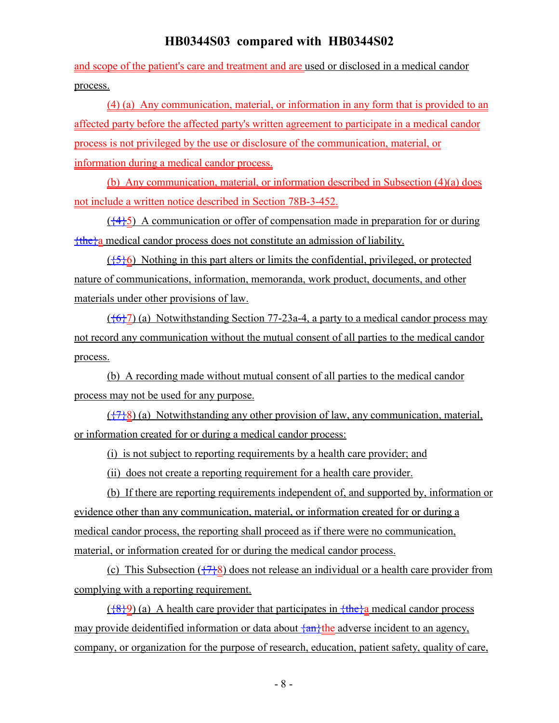and scope of the patient's care and treatment and are used or disclosed in a medical candor process.

(4) (a) Any communication, material, or information in any form that is provided to an affected party before the affected party's written agreement to participate in a medical candor process is not privileged by the use or disclosure of the communication, material, or information during a medical candor process.

(b) Any communication, material, or information described in Subsection (4)(a) does not include a written notice described in Section 78B-3-452.

 $(\frac{44}{5})$  A communication or offer of compensation made in preparation for or during {the}a medical candor process does not constitute an admission of liability.

 $({5}6)$  Nothing in this part alters or limits the confidential, privileged, or protected nature of communications, information, memoranda, work product, documents, and other materials under other provisions of law.

 $({677})$  (a) Notwithstanding Section 77-23a-4, a party to a medical candor process may not record any communication without the mutual consent of all parties to the medical candor process.

(b) A recording made without mutual consent of all parties to the medical candor process may not be used for any purpose.

 $({}^{47}{}_{6}^{8})$  (a) Notwithstanding any other provision of law, any communication, material, or information created for or during a medical candor process:

(i) is not subject to reporting requirements by a health care provider; and

(ii) does not create a reporting requirement for a health care provider.

(b) If there are reporting requirements independent of, and supported by, information or evidence other than any communication, material, or information created for or during a medical candor process, the reporting shall proceed as if there were no communication, material, or information created for or during the medical candor process.

(c) This Subsection  $(\frac{77}{8})$  does not release an individual or a health care provider from complying with a reporting requirement.

 $(\frac{8}{9})$  (a) A health care provider that participates in  $\frac{1}{10}$  medical candor process may provide deidentified information or data about  $\frac{\{an\}}{\{an\}}$  the adverse incident to an agency, company, or organization for the purpose of research, education, patient safety, quality of care,